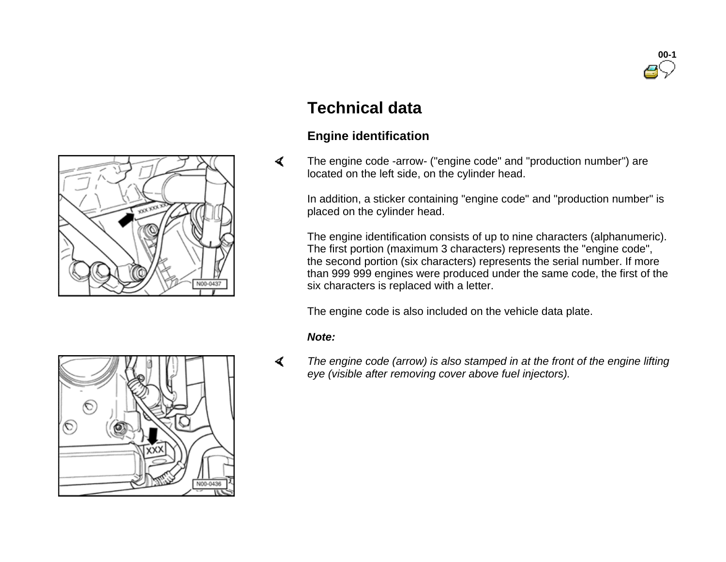



## **Technical data**

## **Engine identification**

 The engine code -arrow- ("engine code" and "production number") are located on the left side, on the cylinder head.

In addition, a sticker containing "engine code" and "production number" is placed on the cylinder head.

The engine identification consists of up to nine characters (alphanumeric). The first portion (maximum 3 characters) represents the "engine code", the second portion (six characters) represents the serial number. If more than 999 999 engines were produced under the same code, the first of the six characters is replaced with a letter.

The engine code is also included on the vehicle data plate.

## *Note:*

 *The engine code (arrow) is also stamped in at the front of the engine lifting eye (visible after removing cover above fuel injectors).*

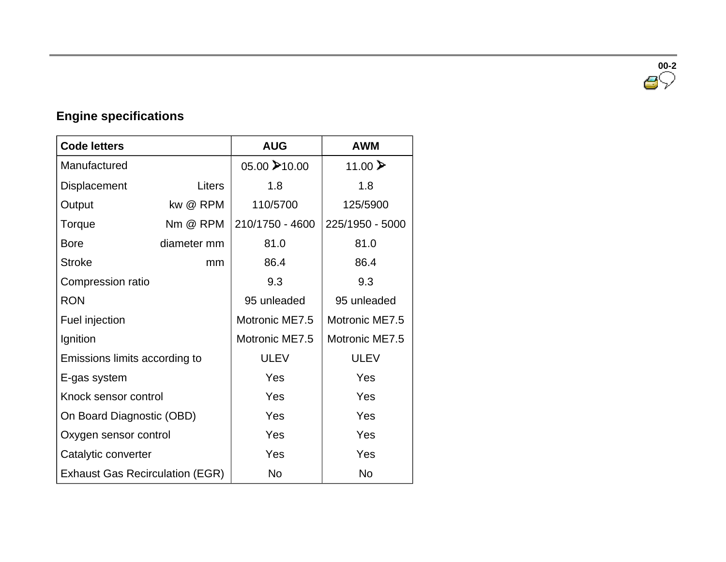**00-2**

## **Engine specifications**

| <b>Code letters</b>                    |               | <b>AUG</b>      | <b>AWM</b>      |  |
|----------------------------------------|---------------|-----------------|-----------------|--|
| Manufactured                           |               | 05.00 →10.00    | 11.00 ₺         |  |
| <b>Displacement</b>                    | <b>Liters</b> | 1.8             | 1.8             |  |
| Output                                 | kw @ RPM      | 110/5700        | 125/5900        |  |
| Torque                                 | Nm @ RPM      | 210/1750 - 4600 | 225/1950 - 5000 |  |
| <b>Bore</b>                            | diameter mm   | 81.0            | 81.0            |  |
| <b>Stroke</b>                          | mm            | 86.4            | 86.4            |  |
| Compression ratio                      |               | 9.3             | 9.3             |  |
| <b>RON</b>                             |               | 95 unleaded     | 95 unleaded     |  |
| Fuel injection                         |               | Motronic ME7.5  | Motronic ME7.5  |  |
| Ignition                               |               | Motronic ME7.5  | Motronic ME7.5  |  |
| Emissions limits according to          |               | <b>ULEV</b>     | <b>ULEV</b>     |  |
| E-gas system                           |               | Yes             | Yes             |  |
| Knock sensor control                   |               | Yes             | Yes             |  |
| On Board Diagnostic (OBD)              |               | Yes             | Yes             |  |
| Oxygen sensor control                  |               | Yes             | Yes             |  |
| Catalytic converter                    |               | Yes             | Yes             |  |
| <b>Exhaust Gas Recirculation (EGR)</b> |               | <b>No</b>       | <b>No</b>       |  |